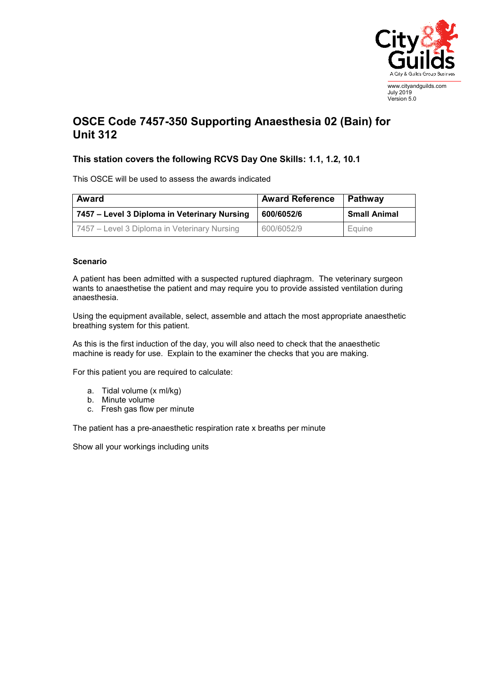

July 2019 Version 5.0

## **OSCE Code 7457-350 Supporting Anaesthesia 02 (Bain) for Unit 312**

## **This station covers the following RCVS Day One Skills: 1.1, 1.2, 10.1**

This OSCE will be used to assess the awards indicated

| <b>Award</b>                                 | <b>Award Reference</b> | Pathway             |
|----------------------------------------------|------------------------|---------------------|
| 7457 – Level 3 Diploma in Veterinary Nursing | 600/6052/6             | <b>Small Animal</b> |
| 7457 – Level 3 Diploma in Veterinary Nursing | 600/6052/9             | Equine              |

## **Scenario**

A patient has been admitted with a suspected ruptured diaphragm. The veterinary surgeon wants to anaesthetise the patient and may require you to provide assisted ventilation during anaesthesia.

Using the equipment available, select, assemble and attach the most appropriate anaesthetic breathing system for this patient.

As this is the first induction of the day, you will also need to check that the anaesthetic machine is ready for use. Explain to the examiner the checks that you are making.

For this patient you are required to calculate:

- a. Tidal volume (x ml/kg)
- b. Minute volume
- c. Fresh gas flow per minute

The patient has a pre-anaesthetic respiration rate x breaths per minute

Show all your workings including units